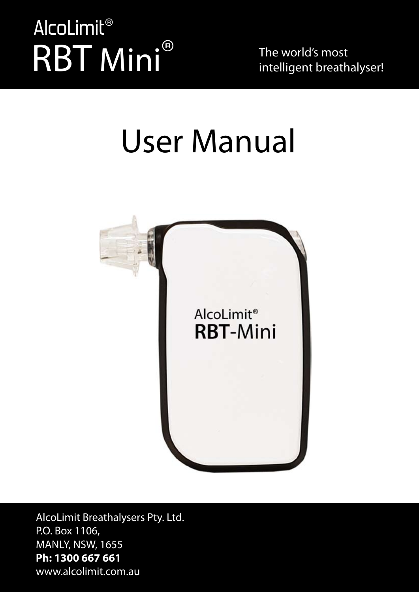# RBT Mini® AlcoLimit®

The world's most intelligent breathalyser!

# User Manual



AlcoLimit Breathalysers Pty. Ltd. P.O. Box 1106, MANLY, NSW, 1655 **Ph: 1300 667 661** www.alcolimit.com.au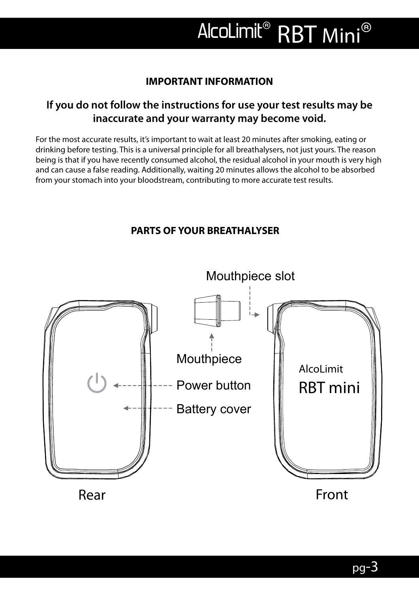### **IMPORTANT INFORMATION**

# **If you do not follow the instructions for use your test results may be inaccurate and your warranty may become void.**

For the most accurate results, it's important to wait at least 20 minutes after smoking, eating or drinking before testing. This is a universal principle for all breathalysers, not just yours. The reason being is that if you have recently consumed alcohol, the residual alcohol in your mouth is very high and can cause a false reading. Additionally, waiting 20 minutes allows the alcohol to be absorbed from your stomach into your bloodstream, contributing to more accurate test results.

### **PARTS OF YOUR BREATHALYSER**

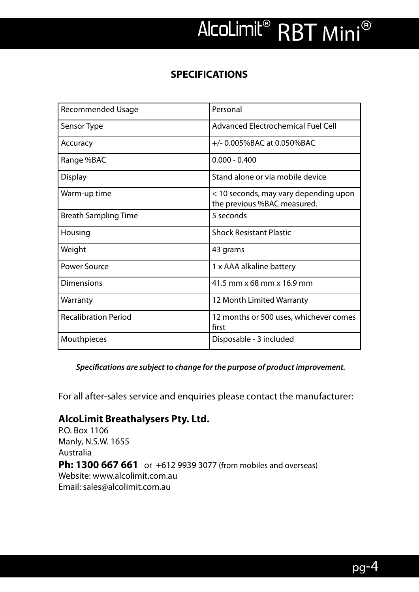### **SPECIFICATIONS**

| <b>Recommended Usage</b>    | Personal                                                             |  |
|-----------------------------|----------------------------------------------------------------------|--|
| Sensor Type                 | <b>Advanced Electrochemical Fuel Cell</b>                            |  |
| Accuracy                    | $+/-$ 0.005%BAC at 0.050%BAC                                         |  |
| Range %BAC                  | $0.000 - 0.400$                                                      |  |
| <b>Display</b>              | Stand alone or via mobile device                                     |  |
| Warm-up time                | < 10 seconds, may vary depending upon<br>the previous %BAC measured. |  |
| <b>Breath Sampling Time</b> | 5 seconds                                                            |  |
| Housing                     | <b>Shock Resistant Plastic</b>                                       |  |
| Weight                      | 43 grams                                                             |  |
| <b>Power Source</b>         | 1 x AAA alkaline battery                                             |  |
| Dimensions                  | 41.5 mm x 68 mm x 16.9 mm                                            |  |
| Warranty                    | 12 Month Limited Warranty                                            |  |
| <b>Recalibration Period</b> | 12 months or 500 uses, whichever comes<br>first                      |  |
| Mouthpieces                 | Disposable - 3 included                                              |  |

*Specifications are subject to change for the purpose of product improvement.*

For all after-sales service and enquiries please contact the manufacturer:

#### **AlcoLimit Breathalysers Pty. Ltd.**

P.O. Box 1106 Manly, N.S.W. 1655 Australia **Ph: 1300 667 661** or +612 9939 3077 (from mobiles and overseas) Website: www.alcolimit.com.au Email: sales@alcolimit.com.au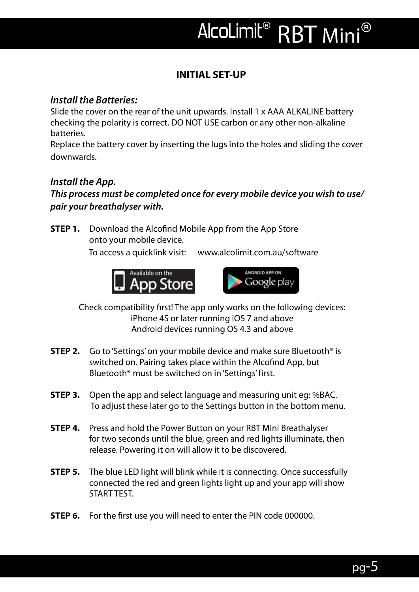# **INITIAL SET-UP**

# *Install the Batteries:*

Slide the cover on the rear of the unit upwards. Install 1 x AAA ALKALINE battery checking the polarity is correct. DO NOT USE carbon or any other non-alkaline batteries.

Replace the battery cover by inserting the lugs into the holes and sliding the cover downwards.

# *Install the App.*

### *This process must be completed once for every mobile device you wish to use/ pair your breathalyser with.*

**STEP 1.** Download the Alcofind Mobile App from the App Store onto your mobile device.

To access a quicklink visit: www.alcolimit.com.au/software



 Check compatibility first! The app only works on the following devices: iPhone 4S or later running iOS 7 and above Android devices running OS 4.3 and above

- **STEP 2.** Go to 'Settings' on your mobile device and make sure Bluetooth<sup>®</sup> is switched on. Pairing takes place within the Alcofind App, but Bluetooth® must be switched on in 'Settings' first.
- **STEP 3.** Open the app and select language and measuring unit eg: %BAC. To adjust these later go to the Settings button in the bottom menu.
- **STEP 4.** Press and hold the Power Button on your RBT Mini Breathalyser for two seconds until the blue, green and red lights illuminate, then release. Powering it on will allow it to be discovered.
- **STEP 5.** The blue LED light will blink while it is connecting. Once successfully connected the red and green lights light up and your app will show START TEST.
- **STEP 6.** For the first use you will need to enter the PIN code 000000.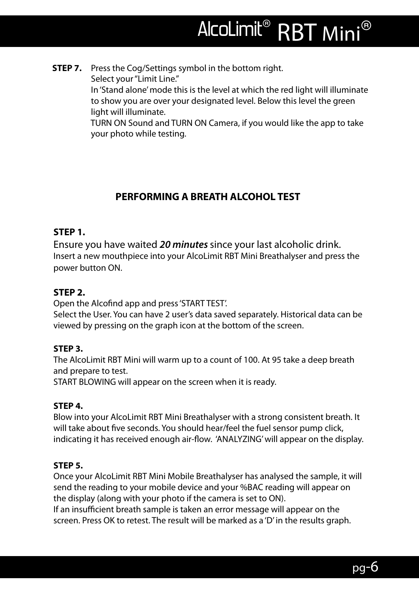**STEP 7.** Press the Cog/Settings symbol in the bottom right. Select your "Limit Line."

 In 'Stand alone' mode this is the level at which the red light will illuminate to show you are over your designated level. Below this level the green light will illuminate.

 TURN ON Sound and TURN ON Camera, if you would like the app to take your photo while testing.

# **PERFORMING A BREATH ALCOHOL TEST**

#### **STEP 1.**

Ensure you have waited *20 minutes* since your last alcoholic drink. Insert a new mouthpiece into your AlcoLimit RBT Mini Breathalyser and press the power button ON.

### **STEP 2.**

Open the Alcofind app and press 'START TEST'.

Select the User. You can have 2 user's data saved separately. Historical data can be viewed by pressing on the graph icon at the bottom of the screen.

### **STEP 3.**

The AlcoLimit RBT Mini will warm up to a count of 100. At 95 take a deep breath and prepare to test.

START BLOWING will appear on the screen when it is ready.

### **STEP 4.**

Blow into your AlcoLimit RBT Mini Breathalyser with a strong consistent breath. It will take about five seconds. You should hear/feel the fuel sensor pump click, indicating it has received enough air-flow. 'ANALYZING' will appear on the display.

### **STEP 5.**

Once your AlcoLimit RBT Mini Mobile Breathalyser has analysed the sample, it will send the reading to your mobile device and your %BAC reading will appear on the display (along with your photo if the camera is set to ON).

If an insufficient breath sample is taken an error message will appear on the screen. Press OK to retest. The result will be marked as a 'D' in the results graph.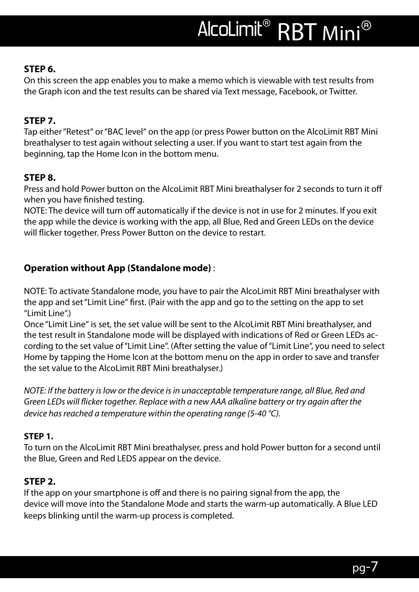#### **STEP 6.**

On this screen the app enables you to make a memo which is viewable with test results from the Graph icon and the test results can be shared via Text message, Facebook, or Twitter.

### **STEP 7.**

Tap either "Retest" or "BAC level" on the app (or press Power button on the AlcoLimit RBT Mini breathalyser to test again without selecting a user. If you want to start test again from the beginning, tap the Home Icon in the bottom menu.

#### **STEP 8.**

Press and hold Power button on the AlcoLimit RBT Mini breathalyser for 2 seconds to turn it off when you have finished testing.

NOTE: The device will turn off automatically if the device is not in use for 2 minutes. If you exit the app while the device is working with the app, all Blue, Red and Green LEDs on the device will flicker together. Press Power Button on the device to restart.

### **Operation without App (Standalone mode)** :

NOTE: To activate Standalone mode, you have to pair the AlcoLimit RBT Mini breathalyser with the app and set "Limit Line" first. (Pair with the app and go to the setting on the app to set "Limit Line".)

Once "Limit Line" is set, the set value will be sent to the AlcoLimit RBT Mini breathalyser, and the test result in Standalone mode will be displayed with indications of Red or Green LEDs according to the set value of "Limit Line". (After setting the value of "Limit Line", you need to select Home by tapping the Home Icon at the bottom menu on the app in order to save and transfer the set value to the AlcoLimit RBT Mini breathalyser.)

*NOTE: If the battery is low or the device is in unacceptable temperature range, all Blue, Red and Green LEDs will flicker together. Replace with a new AAA alkaline battery or try again after the device has reached a temperature within the operating range (5-40 °C).*

#### **STEP 1.**

To turn on the AlcoLimit RBT Mini breathalyser, press and hold Power button for a second until the Blue, Green and Red LEDS appear on the device.

#### **STEP 2.**

If the app on your smartphone is off and there is no pairing signal from the app, the device will move into the Standalone Mode and starts the warm-up automatically. A Blue LED keeps blinking until the warm-up process is completed.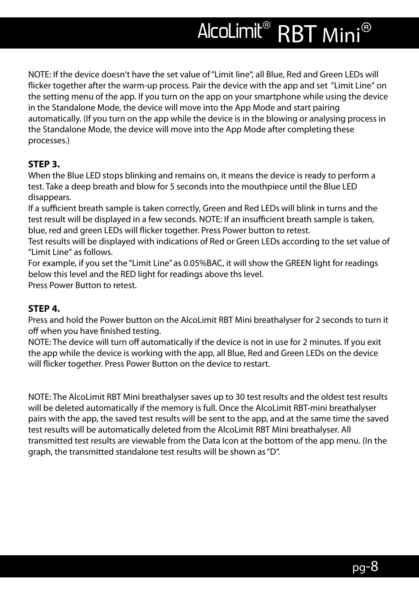NOTE: If the device doesn't have the set value of "Limit line", all Blue, Red and Green LEDs will flicker together after the warm-up process. Pair the device with the app and set "Limit Line" on the setting menu of the app. If you turn on the app on your smartphone while using the device in the Standalone Mode, the device will move into the App Mode and start pairing automatically. (If you turn on the app while the device is in the blowing or analysing process in the Standalone Mode, the device will move into the App Mode after completing these processes.)

#### **STEP 3.**

When the Blue LED stops blinking and remains on, it means the device is ready to perform a test. Take a deep breath and blow for 5 seconds into the mouthpiece until the Blue LED disappears.

If a sufficient breath sample is taken correctly, Green and Red LEDs will blink in turns and the test result will be displayed in a few seconds. NOTE: If an insufficient breath sample is taken, blue, red and green LEDs will flicker together. Press Power button to retest.

Test results will be displayed with indications of Red or Green LEDs according to the set value of "Limit Line" as follows.

For example, if you set the "Limit Line" as 0.05%BAC, it will show the GREEN light for readings below this level and the RED light for readings above ths level.

Press Power Button to retest.

#### **STEP 4.**

Press and hold the Power button on the AlcoLimit RBT Mini breathalyser for 2 seconds to turn it off when you have finished testing.

NOTE: The device will turn off automatically if the device is not in use for 2 minutes. If you exit the app while the device is working with the app, all Blue, Red and Green LEDs on the device will flicker together. Press Power Button on the device to restart.

NOTE: The AlcoLimit RBT Mini breathalyser saves up to 30 test results and the oldest test results will be deleted automatically if the memory is full. Once the AlcoLimit RBT-mini breathalyser pairs with the app, the saved test results will be sent to the app, and at the same time the saved test results will be automatically deleted from the AlcoLimit RBT Mini breathalyser. All transmitted test results are viewable from the Data Icon at the bottom of the app menu. (In the graph, the transmitted standalone test results will be shown as "D".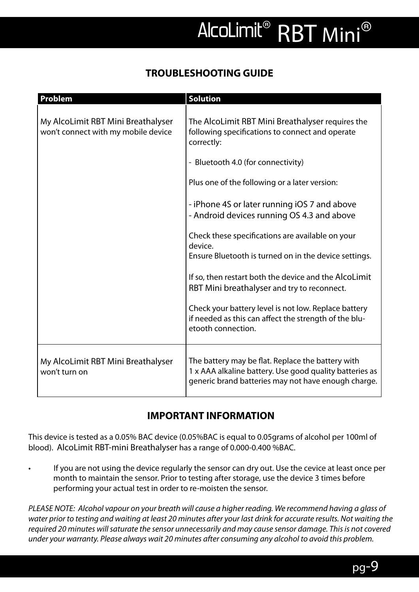# **TROUBLESHOOTING GUIDE**

| Problem                                                                   | <b>Solution</b>                                                                                                                                                     |
|---------------------------------------------------------------------------|---------------------------------------------------------------------------------------------------------------------------------------------------------------------|
| My AlcoLimit RBT Mini Breathalyser<br>won't connect with my mobile device | The AlcoLimit RBT Mini Breathalyser requires the<br>following specifications to connect and operate<br>correctly:                                                   |
|                                                                           | - Bluetooth 4.0 (for connectivity)                                                                                                                                  |
|                                                                           | Plus one of the following or a later version:                                                                                                                       |
|                                                                           | - iPhone 4S or later running iOS 7 and above<br>- Android devices running OS 4.3 and above                                                                          |
|                                                                           | Check these specifications are available on your<br>device.                                                                                                         |
|                                                                           | Ensure Bluetooth is turned on in the device settings.                                                                                                               |
|                                                                           | If so, then restart both the device and the AlcoLimit<br>RBT Mini breathalyser and try to reconnect.                                                                |
|                                                                           | Check your battery level is not low. Replace battery<br>if needed as this can affect the strength of the blu-<br>etooth connection.                                 |
| My AlcoLimit RBT Mini Breathalyser<br>won't turn on                       | The battery may be flat. Replace the battery with<br>1 x AAA alkaline battery. Use good quality batteries as<br>generic brand batteries may not have enough charge. |

# **IMPORTANT INFORMATION**

This device is tested as a 0.05% BAC device (0.05%BAC is equal to 0.05grams of alcohol per 100ml of blood). AlcoLimit RBT-mini Breathalyser has a range of 0.000-0.400 %BAC.

If you are not using the device regularly the sensor can dry out. Use the cevice at least once per month to maintain the sensor. Prior to testing after storage, use the device 3 times before performing your actual test in order to re-moisten the sensor.

*PLEASE NOTE: Alcohol vapour on your breath will cause a higher reading. We recommend having a glass of water prior to testing and waiting at least 20 minutes after your last drink for accurate results. Not waiting the required 20 minutes will saturate the sensor unnecessarily and may cause sensor damage. This is not covered under your warranty. Please always wait 20 minutes after consuming any alcohol to avoid this problem.*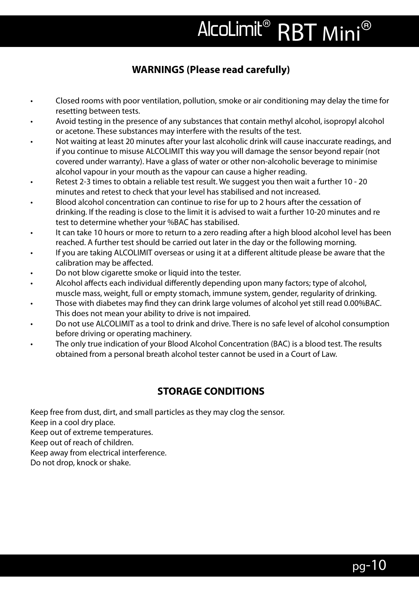# **WARNINGS (Please read carefully)**

- • Closed rooms with poor ventilation, pollution, smoke or air conditioning may delay the time for resetting between tests.
- Avoid testing in the presence of any substances that contain methyl alcohol, isopropyl alcohol or acetone. These substances may interfere with the results of the test.
- Not waiting at least 20 minutes after your last alcoholic drink will cause inaccurate readings, and if you continue to misuse ALCOLIMIT this way you will damage the sensor beyond repair (not covered under warranty). Have a glass of water or other non-alcoholic beverage to minimise alcohol vapour in your mouth as the vapour can cause a higher reading.
- Retest 2-3 times to obtain a reliable test result. We suggest you then wait a further 10 20 minutes and retest to check that your level has stabilised and not increased.
- Blood alcohol concentration can continue to rise for up to 2 hours after the cessation of drinking. If the reading is close to the limit it is advised to wait a further 10-20 minutes and re test to determine whether your %BAC has stabilised.
- It can take 10 hours or more to return to a zero reading after a high blood alcohol level has been reached. A further test should be carried out later in the day or the following morning.
- If you are taking ALCOLIMIT overseas or using it at a different altitude please be aware that the calibration may be affected.
- Do not blow cigarette smoke or liquid into the tester.
- Alcohol affects each individual differently depending upon many factors; type of alcohol, muscle mass, weight, full or empty stomach, immune system, gender, regularity of drinking.
- Those with diabetes may find they can drink large volumes of alcohol yet still read 0.00%BAC. This does not mean your ability to drive is not impaired.
- Do not use ALCOLIMIT as a tool to drink and drive. There is no safe level of alcohol consumption before driving or operating machinery.
- The only true indication of your Blood Alcohol Concentration (BAC) is a blood test. The results obtained from a personal breath alcohol tester cannot be used in a Court of Law.

# **STORAGE CONDITIONS**

Keep free from dust, dirt, and small particles as they may clog the sensor. Keep in a cool dry place. Keep out of extreme temperatures. Keep out of reach of children. Keep away from electrical interference. Do not drop, knock or shake.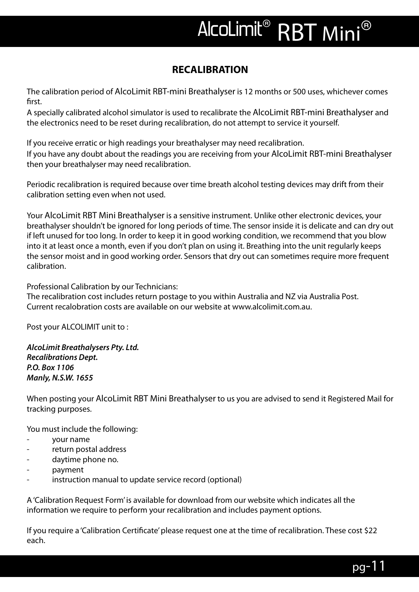# **RECALIBRATION**

The calibration period of AlcoLimit RBT-mini Breathalyser is 12 months or 500 uses, whichever comes first.

A specially calibrated alcohol simulator is used to recalibrate the AlcoLimit RBT-mini Breathalyser and the electronics need to be reset during recalibration, do not attempt to service it yourself.

If you receive erratic or high readings your breathalyser may need recalibration. If you have any doubt about the readings you are receiving from your AlcoLimit RBT-mini Breathalyser then your breathalyser may need recalibration.

Periodic recalibration is required because over time breath alcohol testing devices may drift from their calibration setting even when not used.

Your AlcoLimit RBT Mini Breathalyser is a sensitive instrument. Unlike other electronic devices, your breathalyser shouldn't be ignored for long periods of time. The sensor inside it is delicate and can dry out if left unused for too long. In order to keep it in good working condition, we recommend that you blow into it at least once a month, even if you don't plan on using it. Breathing into the unit regularly keeps the sensor moist and in good working order. Sensors that dry out can sometimes require more frequent calibration.

Professional Calibration by our Technicians:

The recalibration cost includes return postage to you within Australia and NZ via Australia Post. Current recalobration costs are available on our website at www.alcolimit.com.au.

Post your ALCOLIMIT unit to :

*AlcoLimit Breathalysers Pty. Ltd. Recalibrations Dept. P.O. Box 1106 Manly, N.S.W. 1655* 

When posting your AlcoLimit RBT Mini Breathalyser to us you are advised to send it Registered Mail for tracking purposes.

You must include the following:

- your name
- return postal address
- daytime phone no.
- payment
- instruction manual to update service record (optional)

A 'Calibration Request Form' is available for download from our website which indicates all the information we require to perform your recalibration and includes payment options.

If you require a 'Calibration Certificate' please request one at the time of recalibration. These cost \$22 each.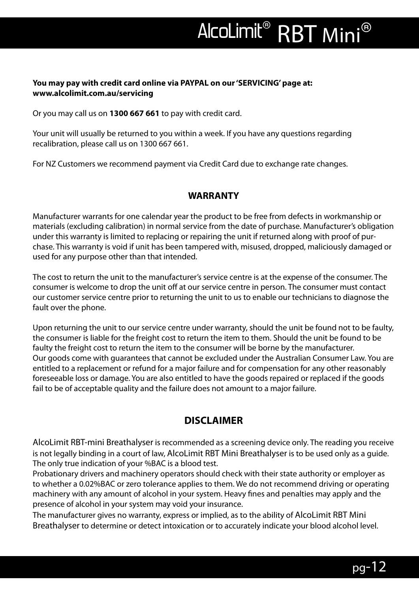#### **You may pay with credit card online via PAYPAL on our 'SERVICING' page at: www.alcolimit.com.au/servicing**

Or you may call us on **1300 667 661** to pay with credit card.

Your unit will usually be returned to you within a week. If you have any questions regarding recalibration, please call us on 1300 667 661.

For NZ Customers we recommend payment via Credit Card due to exchange rate changes.

#### **WARRANTY**

Manufacturer warrants for one calendar year the product to be free from defects in workmanship or materials (excluding calibration) in normal service from the date of purchase. Manufacturer's obligation under this warranty is limited to replacing or repairing the unit if returned along with proof of purchase. This warranty is void if unit has been tampered with, misused, dropped, maliciously damaged or used for any purpose other than that intended.

The cost to return the unit to the manufacturer's service centre is at the expense of the consumer. The consumer is welcome to drop the unit off at our service centre in person. The consumer must contact our customer service centre prior to returning the unit to us to enable our technicians to diagnose the fault over the phone.

Upon returning the unit to our service centre under warranty, should the unit be found not to be faulty, the consumer is liable for the freight cost to return the item to them. Should the unit be found to be faulty the freight cost to return the item to the consumer will be borne by the manufacturer. Our goods come with guarantees that cannot be excluded under the Australian Consumer Law. You are entitled to a replacement or refund for a major failure and for compensation for any other reasonably foreseeable loss or damage. You are also entitled to have the goods repaired or replaced if the goods fail to be of acceptable quality and the failure does not amount to a major failure.

### **DISCLAIMER**

AlcoLimit RBT-mini Breathalyser is recommended as a screening device only. The reading you receive is not legally binding in a court of law, AlcoLimit RBT Mini Breathalyser is to be used only as a guide. The only true indication of your %BAC is a blood test.

Probationary drivers and machinery operators should check with their state authority or employer as to whether a 0.02%BAC or zero tolerance applies to them. We do not recommend driving or operating machinery with any amount of alcohol in your system. Heavy fines and penalties may apply and the presence of alcohol in your system may void your insurance.

The manufacturer gives no warranty, express or implied, as to the ability of AlcoLimit RBT Mini Breathalyser to determine or detect intoxication or to accurately indicate your blood alcohol level.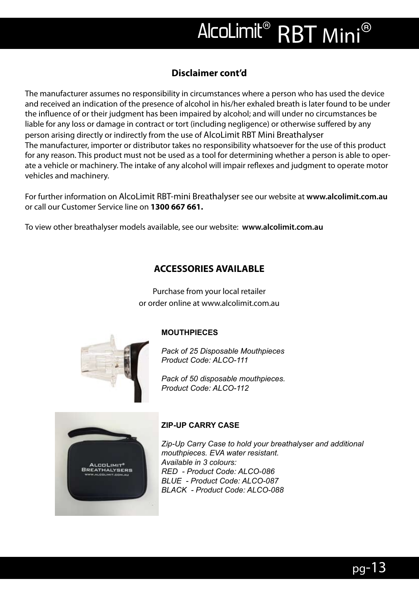# **Disclaimer cont'd**

The manufacturer assumes no responsibility in circumstances where a person who has used the device and received an indication of the presence of alcohol in his/her exhaled breath is later found to be under the influence of or their judgment has been impaired by alcohol; and will under no circumstances be liable for any loss or damage in contract or tort (including negligence) or otherwise suffered by any person arising directly or indirectly from the use of AlcoLimit RBT Mini Breathalyser The manufacturer, importer or distributor takes no responsibility whatsoever for the use of this product for any reason. This product must not be used as a tool for determining whether a person is able to operate a vehicle or machinery. The intake of any alcohol will impair reflexes and judgment to operate motor vehicles and machinery.

For further information on AlcoLimit RBT-mini Breathalyser see our website at **www.alcolimit.com.au**  or call our Customer Service line on **1300 667 661.**

To view other breathalyser models available, see our website: **www.alcolimit.com.au** 

#### **ACCESSORIES AVAILABLE**

Purchase from your local retailer or order online at www.alcolimit.com.au



#### **MOUTHPIECES**

*Pack of 25 Disposable Mouthpieces Product Code: ALCO-111*

*Pack of 50 disposable mouthpieces. Product Code: ALCO-112*



#### **ZIP-UP CARRY CASE**

*Zip-Up Carry Case to hold your breathalyser and additional mouthpieces. EVA water resistant. Available in 3 colours: RED - Product Code: ALCO-086 BLUE - Product Code: ALCO-087 BLACK - Product Code: ALCO-088*